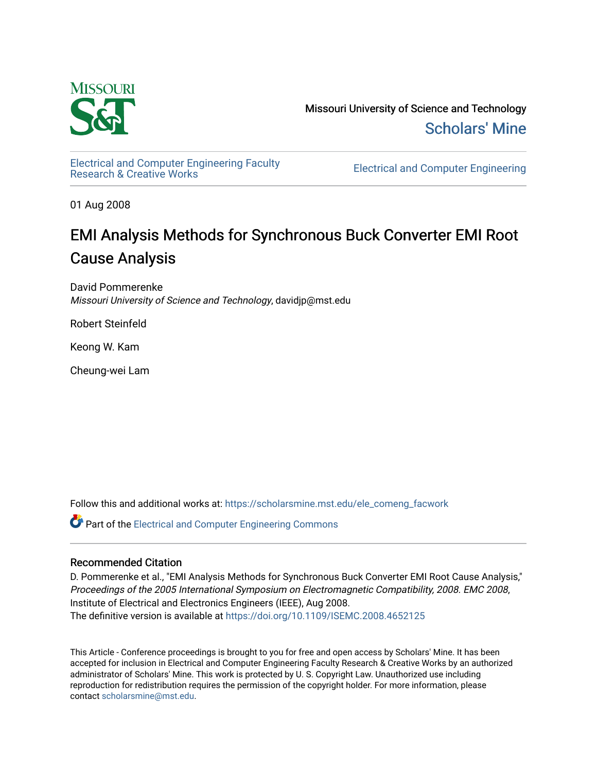

Missouri University of Science and Technology [Scholars' Mine](https://scholarsmine.mst.edu/) 

[Electrical and Computer Engineering Faculty](https://scholarsmine.mst.edu/ele_comeng_facwork)

**Electrical and Computer Engineering** 

01 Aug 2008

# EMI Analysis Methods for Synchronous Buck Converter EMI Root Cause Analysis

David Pommerenke Missouri University of Science and Technology, davidjp@mst.edu

Robert Steinfeld

Keong W. Kam

Cheung-wei Lam

Follow this and additional works at: [https://scholarsmine.mst.edu/ele\\_comeng\\_facwork](https://scholarsmine.mst.edu/ele_comeng_facwork?utm_source=scholarsmine.mst.edu%2Fele_comeng_facwork%2F708&utm_medium=PDF&utm_campaign=PDFCoverPages)

**C** Part of the Electrical and Computer Engineering Commons

## Recommended Citation

D. Pommerenke et al., "EMI Analysis Methods for Synchronous Buck Converter EMI Root Cause Analysis," Proceedings of the 2005 International Symposium on Electromagnetic Compatibility, 2008. EMC 2008, Institute of Electrical and Electronics Engineers (IEEE), Aug 2008. The definitive version is available at <https://doi.org/10.1109/ISEMC.2008.4652125>

This Article - Conference proceedings is brought to you for free and open access by Scholars' Mine. It has been accepted for inclusion in Electrical and Computer Engineering Faculty Research & Creative Works by an authorized administrator of Scholars' Mine. This work is protected by U. S. Copyright Law. Unauthorized use including reproduction for redistribution requires the permission of the copyright holder. For more information, please contact [scholarsmine@mst.edu](mailto:scholarsmine@mst.edu).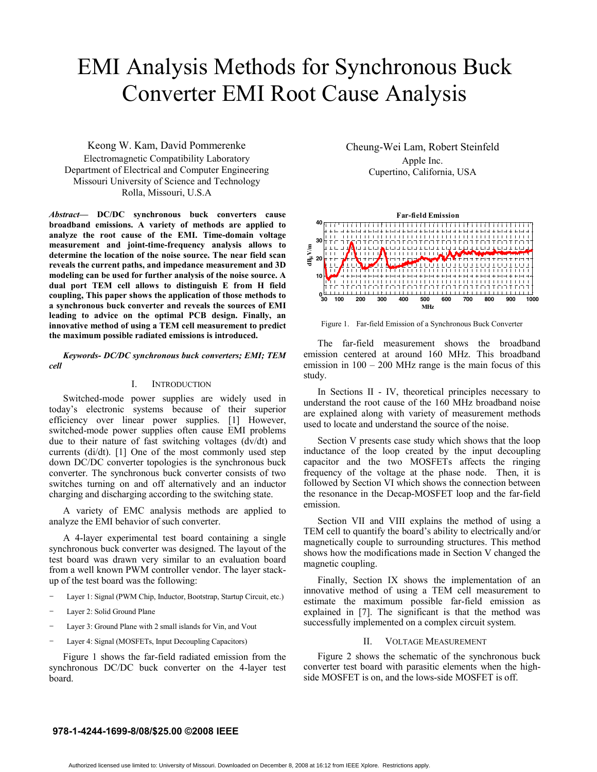# EMI Analysis Methods for Synchronous Buck Converter EMI Root Cause Analysis

## Keong W. Kam, David Pommerenke

Electromagnetic Compatibility Laboratory Department of Electrical and Computer Engineering Missouri University of Science and Technology Rolla, Missouri, U.S.A

*Abstract***— DC/DC synchronous buck converters cause broadband emissions. A variety of methods are applied to analyze the root cause of the EMI. Time-domain voltage measurement and joint-time-frequency analysis allows to determine the location of the noise source. The near field scan reveals the current paths, and impedance measurement and 3D modeling can be used for further analysis of the noise source. A dual port TEM cell allows to distinguish E from H field coupling, This paper shows the application of those methods to a synchronous buck converter and reveals the sources of EMI leading to advice on the optimal PCB design. Finally, an innovative method of using a TEM cell measurement to predict the maximum possible radiated emissions is introduced.** 

*Keywords- DC/DC synchronous buck converters; EMI; TEM cell* 

#### I. INTRODUCTION

Switched-mode power supplies are widely used in today's electronic systems because of their superior efficiency over linear power supplies. [1] However, switched-mode power supplies often cause EMI problems due to their nature of fast switching voltages (dv/dt) and currents (di/dt). [1] One of the most commonly used step down DC/DC converter topologies is the synchronous buck converter. The synchronous buck converter consists of two switches turning on and off alternatively and an inductor charging and discharging according to the switching state.

A variety of EMC analysis methods are applied to analyze the EMI behavior of such converter.

A 4-layer experimental test board containing a single synchronous buck converter was designed. The layout of the test board was drawn very similar to an evaluation board from a well known PWM controller vendor. The layer stackup of the test board was the following:

- Layer 1: Signal (PWM Chip, Inductor, Bootstrap, Startup Circuit, etc.)
- Layer 2: Solid Ground Plane
- Layer 3: Ground Plane with 2 small islands for Vin, and Vout
- Layer 4: Signal (MOSFETs, Input Decoupling Capacitors)

Figure 1 shows the far-field radiated emission from the synchronous DC/DC buck converter on the 4-layer test board.

Cheung-Wei Lam, Robert Steinfeld Apple Inc. Cupertino, California, USA



Figure 1. Far-field Emission of a Synchronous Buck Converter

The far-field measurement shows the broadband emission centered at around 160 MHz. This broadband emission in  $100 - 200$  MHz range is the main focus of this study.

In Sections II - IV, theoretical principles necessary to understand the root cause of the 160 MHz broadband noise are explained along with variety of measurement methods used to locate and understand the source of the noise.

Section V presents case study which shows that the loop inductance of the loop created by the input decoupling capacitor and the two MOSFETs affects the ringing frequency of the voltage at the phase node. Then, it is followed by Section VI which shows the connection between the resonance in the Decap-MOSFET loop and the far-field emission.

Section VII and VIII explains the method of using a TEM cell to quantify the board's ability to electrically and/or magnetically couple to surrounding structures. This method shows how the modifications made in Section V changed the magnetic coupling.

Finally, Section IX shows the implementation of an innovative method of using a TEM cell measurement to estimate the maximum possible far-field emission as explained in [7]. The significant is that the method was successfully implemented on a complex circuit system.

#### II. VOLTAGE MEASUREMENT

Figure 2 shows the schematic of the synchronous buck converter test board with parasitic elements when the highside MOSFET is on, and the lows-side MOSFET is off.

#### **978-1-4244-1699-8/08/\$25.00 ©2008 IEEE**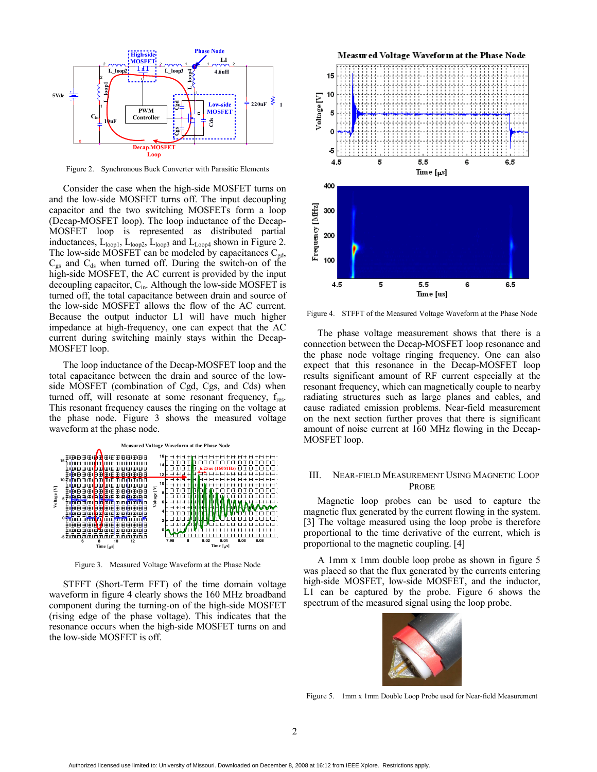

Figure 2. Synchronous Buck Converter with Parasitic Elements

Consider the case when the high-side MOSFET turns on and the low-side MOSFET turns off. The input decoupling capacitor and the two switching MOSFETs form a loop (Decap-MOSFET loop). The loop inductance of the Decap-MOSFET loop is represented as distributed partial inductances,  $L_{loop1}$ ,  $L_{loop2}$ ,  $L_{loop3}$  and  $L_{Loop4}$  shown in Figure 2. The low-side MOSFET can be modeled by capacitances  $C_{gd}$ ,  $C_{gs}$  and  $C_{ds}$  when turned off. During the switch-on of the high-side MOSFET, the AC current is provided by the input decoupling capacitor,  $C_{in}$ . Although the low-side MOSFET is turned off, the total capacitance between drain and source of the low-side MOSFET allows the flow of the AC current. Because the output inductor L1 will have much higher impedance at high-frequency, one can expect that the AC current during switching mainly stays within the Decap-MOSFET loop.

The loop inductance of the Decap-MOSFET loop and the total capacitance between the drain and source of the lowside MOSFET (combination of Cgd, Cgs, and Cds) when turned off, will resonate at some resonant frequency, f<sub>res</sub>. This resonant frequency causes the ringing on the voltage at the phase node. Figure 3 shows the measured voltage waveform at the phase node.



Figure 3. Measured Voltage Waveform at the Phase Node

STFFT (Short-Term FFT) of the time domain voltage waveform in figure 4 clearly shows the 160 MHz broadband component during the turning-on of the high-side MOSFET (rising edge of the phase voltage). This indicates that the resonance occurs when the high-side MOSFET turns on and the low-side MOSFET is off.



Figure 4. STFFT of the Measured Voltage Waveform at the Phase Node

The phase voltage measurement shows that there is a connection between the Decap-MOSFET loop resonance and the phase node voltage ringing frequency. One can also expect that this resonance in the Decap-MOSFET loop results significant amount of RF current especially at the resonant frequency, which can magnetically couple to nearby radiating structures such as large planes and cables, and cause radiated emission problems. Near-field measurement on the next section further proves that there is significant amount of noise current at 160 MHz flowing in the Decap-MOSFET loop.

#### III. NEAR-FIELD MEASUREMENT USING MAGNETIC LOOP PROBE

Magnetic loop probes can be used to capture the magnetic flux generated by the current flowing in the system. [3] The voltage measured using the loop probe is therefore proportional to the time derivative of the current, which is proportional to the magnetic coupling. [4]

A 1mm x 1mm double loop probe as shown in figure 5 was placed so that the flux generated by the currents entering high-side MOSFET, low-side MOSFET, and the inductor, L1 can be captured by the probe. Figure 6 shows the spectrum of the measured signal using the loop probe.



Figure 5. 1mm x 1mm Double Loop Probe used for Near-field Measurement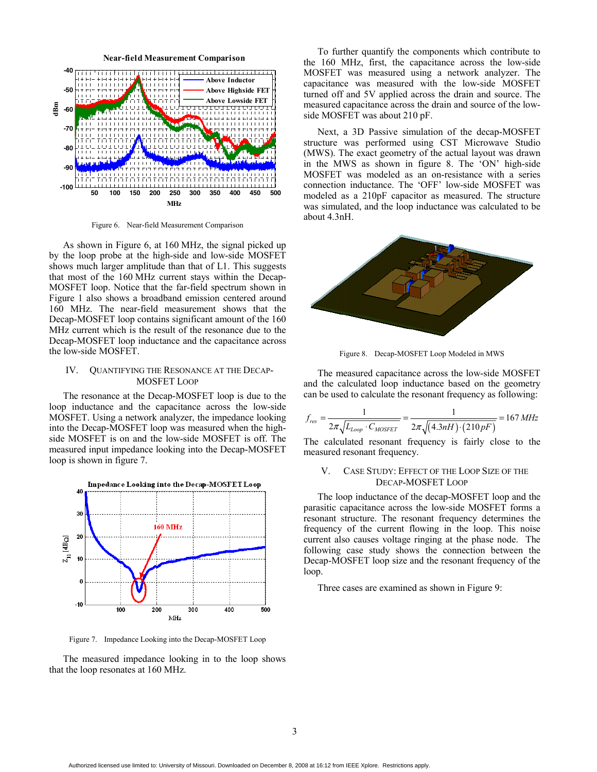

Figure 6. Near-field Measurement Comparison

As shown in Figure 6, at 160 MHz, the signal picked up by the loop probe at the high-side and low-side MOSFET shows much larger amplitude than that of L1. This suggests that most of the 160 MHz current stays within the Decap-MOSFET loop. Notice that the far-field spectrum shown in Figure 1 also shows a broadband emission centered around 160 MHz. The near-field measurement shows that the Decap-MOSFET loop contains significant amount of the 160 MHz current which is the result of the resonance due to the Decap-MOSFET loop inductance and the capacitance across the low-side MOSFET.

#### IV. QUANTIFYING THE RESONANCE AT THE DECAP-MOSFET LOOP

The resonance at the Decap-MOSFET loop is due to the loop inductance and the capacitance across the low-side MOSFET. Using a network analyzer, the impedance looking into the Decap-MOSFET loop was measured when the highside MOSFET is on and the low-side MOSFET is off. The measured input impedance looking into the Decap-MOSFET loop is shown in figure 7.



Figure 7. Impedance Looking into the Decap-MOSFET Loop

The measured impedance looking in to the loop shows that the loop resonates at 160 MHz.

To further quantify the components which contribute to the 160 MHz, first, the capacitance across the low-side MOSFET was measured using a network analyzer. The capacitance was measured with the low-side MOSFET turned off and 5V applied across the drain and source. The measured capacitance across the drain and source of the lowside MOSFET was about 210 pF.

Next, a 3D Passive simulation of the decap-MOSFET structure was performed using CST Microwave Studio (MWS). The exact geometry of the actual layout was drawn in the MWS as shown in figure 8. The 'ON' high-side MOSFET was modeled as an on-resistance with a series connection inductance. The 'OFF' low-side MOSFET was modeled as a 210pF capacitor as measured. The structure was simulated, and the loop inductance was calculated to be about 4.3nH.



Figure 8. Decap-MOSFET Loop Modeled in MWS

The measured capacitance across the low-side MOSFET and the calculated loop inductance based on the geometry can be used to calculate the resonant frequency as following:

$$
f_{res} = \frac{1}{2\pi\sqrt{L_{Loop} \cdot C_{MOSFET}}} = \frac{1}{2\pi\sqrt{(4.3nH) \cdot (210pF)}} = 167 \, MHz
$$

The calculated resonant frequency is fairly close to the measured resonant frequency.

#### V. CASE STUDY: EFFECT OF THE LOOP SIZE OF THE DECAP-MOSFET LOOP

The loop inductance of the decap-MOSFET loop and the parasitic capacitance across the low-side MOSFET forms a resonant structure. The resonant frequency determines the frequency of the current flowing in the loop. This noise current also causes voltage ringing at the phase node. The following case study shows the connection between the Decap-MOSFET loop size and the resonant frequency of the loop.

Three cases are examined as shown in Figure 9: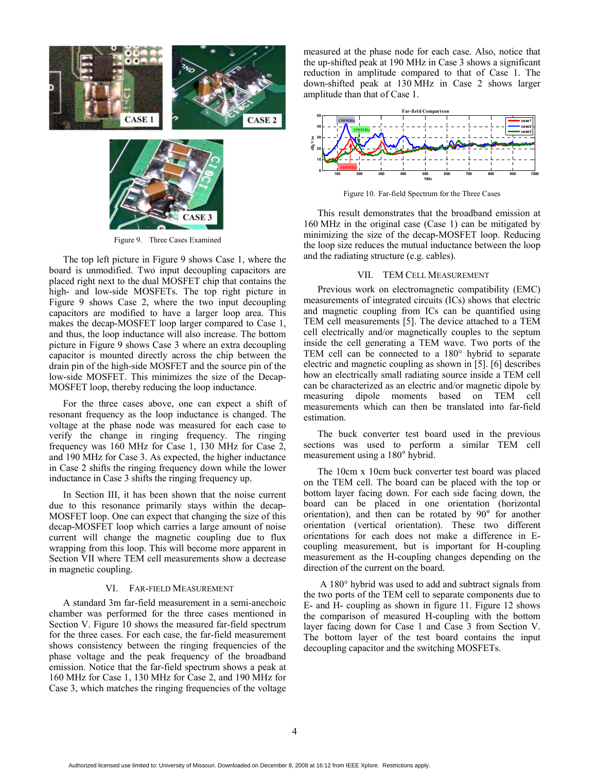



Figure 9. Three Cases Examined

The top left picture in Figure 9 shows Case 1, where the board is unmodified. Two input decoupling capacitors are placed right next to the dual MOSFET chip that contains the high- and low-side MOSFETs. The top right picture in Figure 9 shows Case 2, where the two input decoupling capacitors are modified to have a larger loop area. This makes the decap-MOSFET loop larger compared to Case 1, and thus, the loop inductance will also increase. The bottom picture in Figure 9 shows Case 3 where an extra decoupling capacitor is mounted directly across the chip between the drain pin of the high-side MOSFET and the source pin of the low-side MOSFET. This minimizes the size of the Decap-MOSFET loop, thereby reducing the loop inductance.

For the three cases above, one can expect a shift of resonant frequency as the loop inductance is changed. The voltage at the phase node was measured for each case to verify the change in ringing frequency. The ringing frequency was 160 MHz for Case 1, 130 MHz for Case 2, and 190 MHz for Case 3. As expected, the higher inductance in Case 2 shifts the ringing frequency down while the lower inductance in Case 3 shifts the ringing frequency up.

In Section III, it has been shown that the noise current due to this resonance primarily stays within the decap-MOSFET loop. One can expect that changing the size of this decap-MOSFET loop which carries a large amount of noise current will change the magnetic coupling due to flux wrapping from this loop. This will become more apparent in Section VII where TEM cell measurements show a decrease in magnetic coupling.

#### VI. FAR-FIELD MEASUREMENT

A standard 3m far-field measurement in a semi-anechoic chamber was performed for the three cases mentioned in Section V. Figure 10 shows the measured far-field spectrum for the three cases. For each case, the far-field measurement shows consistency between the ringing frequencies of the phase voltage and the peak frequency of the broadband emission. Notice that the far-field spectrum shows a peak at 160 MHz for Case 1, 130 MHz for Case 2, and 190 MHz for Case 3, which matches the ringing frequencies of the voltage

measured at the phase node for each case. Also, notice that the up-shifted peak at 190 MHz in Case 3 shows a significant reduction in amplitude compared to that of Case 1. The down-shifted peak at 130 MHz in Case 2 shows larger amplitude than that of Case 1.



Figure 10. Far-field Spectrum for the Three Cases

This result demonstrates that the broadband emission at 160 MHz in the original case (Case 1) can be mitigated by minimizing the size of the decap-MOSFET loop. Reducing the loop size reduces the mutual inductance between the loop and the radiating structure (e.g. cables).

#### VII. TEM CELL MEASUREMENT

Previous work on electromagnetic compatibility (EMC) measurements of integrated circuits (ICs) shows that electric and magnetic coupling from ICs can be quantified using TEM cell measurements [5]. The device attached to a TEM cell electrically and/or magnetically couples to the septum inside the cell generating a TEM wave. Two ports of the TEM cell can be connected to a 180° hybrid to separate electric and magnetic coupling as shown in [5]. [6] describes how an electrically small radiating source inside a TEM cell can be characterized as an electric and/or magnetic dipole by measuring dipole moments based on TEM cell measurements which can then be translated into far-field estimation.

The buck converter test board used in the previous sections was used to perform a similar TEM cell measurement using a 180° hybrid.

The 10cm x 10cm buck converter test board was placed on the TEM cell. The board can be placed with the top or bottom layer facing down. For each side facing down, the board can be placed in one orientation (horizontal orientation), and then can be rotated by 90° for another orientation (vertical orientation). These two different orientations for each does not make a difference in Ecoupling measurement, but is important for H-coupling measurement as the H-coupling changes depending on the direction of the current on the board.

 A 180° hybrid was used to add and subtract signals from the two ports of the TEM cell to separate components due to E- and H- coupling as shown in figure 11. Figure 12 shows the comparison of measured H-coupling with the bottom layer facing down for Case 1 and Case 3 from Section V. The bottom layer of the test board contains the input decoupling capacitor and the switching MOSFETs.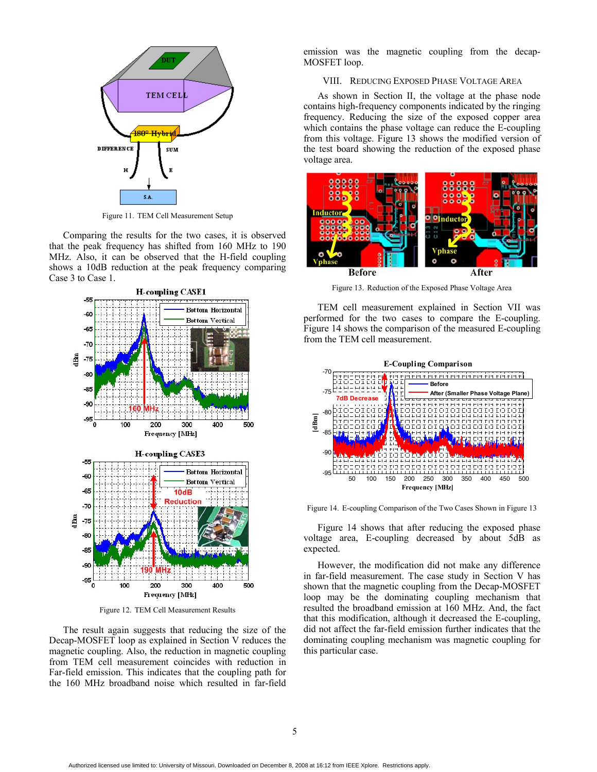

Figure 11. TEM Cell Measurement Setup

Comparing the results for the two cases, it is observed that the peak frequency has shifted from 160 MHz to 190 MHz. Also, it can be observed that the H-field coupling shows a 10dB reduction at the peak frequency comparing Case 3 to Case 1.



Figure 12. TEM Cell Measurement Results

The result again suggests that reducing the size of the Decap-MOSFET loop as explained in Section V reduces the magnetic coupling. Also, the reduction in magnetic coupling from TEM cell measurement coincides with reduction in Far-field emission. This indicates that the coupling path for the 160 MHz broadband noise which resulted in far-field

emission was the magnetic coupling from the decap-MOSFET loop.

VIII. REDUCING EXPOSED PHASE VOLTAGE AREA

As shown in Section II, the voltage at the phase node contains high-frequency components indicated by the ringing frequency. Reducing the size of the exposed copper area which contains the phase voltage can reduce the E-coupling from this voltage. Figure 13 shows the modified version of the test board showing the reduction of the exposed phase voltage area.



Figure 13. Reduction of the Exposed Phase Voltage Area

TEM cell measurement explained in Section VII was performed for the two cases to compare the E-coupling. Figure 14 shows the comparison of the measured E-coupling from the TEM cell measurement.



Figure 14. E-coupling Comparison of the Two Cases Shown in Figure 13

Figure 14 shows that after reducing the exposed phase voltage area, E-coupling decreased by about 5dB as expected.

However, the modification did not make any difference in far-field measurement. The case study in Section V has shown that the magnetic coupling from the Decap-MOSFET loop may be the dominating coupling mechanism that resulted the broadband emission at 160 MHz. And, the fact that this modification, although it decreased the E-coupling, did not affect the far-field emission further indicates that the dominating coupling mechanism was magnetic coupling for this particular case.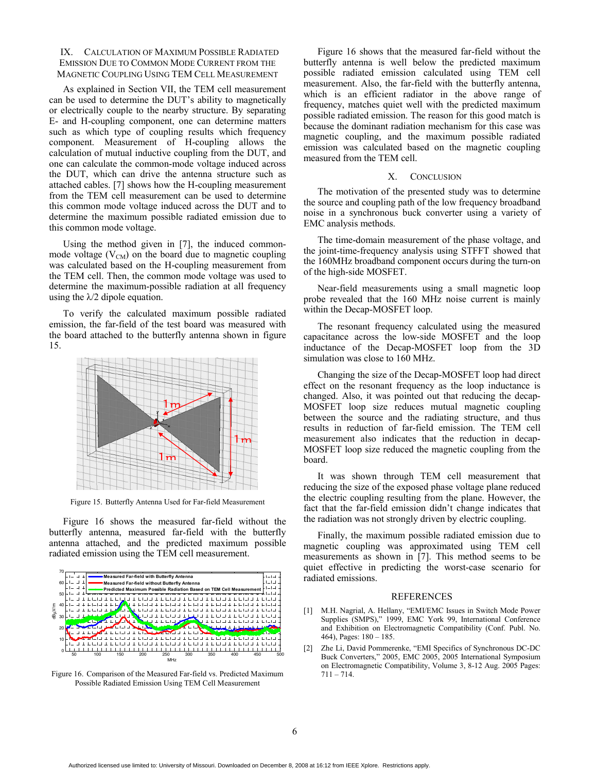#### IX. CALCULATION OF MAXIMUM POSSIBLE RADIATED EMISSION DUE TO COMMON MODE CURRENT FROM THE MAGNETIC COUPLING USING TEM CELL MEASUREMENT

As explained in Section VII, the TEM cell measurement can be used to determine the DUT's ability to magnetically or electrically couple to the nearby structure. By separating E- and H-coupling component, one can determine matters such as which type of coupling results which frequency component. Measurement of H-coupling allows the calculation of mutual inductive coupling from the DUT, and one can calculate the common-mode voltage induced across the DUT, which can drive the antenna structure such as attached cables. [7] shows how the H-coupling measurement from the TEM cell measurement can be used to determine this common mode voltage induced across the DUT and to determine the maximum possible radiated emission due to this common mode voltage.

Using the method given in [7], the induced commonmode voltage  $(V_{CM})$  on the board due to magnetic coupling was calculated based on the H-coupling measurement from the TEM cell. Then, the common mode voltage was used to determine the maximum-possible radiation at all frequency using the  $\lambda/2$  dipole equation.

To verify the calculated maximum possible radiated emission, the far-field of the test board was measured with the board attached to the butterfly antenna shown in figure 15.



Figure 15. Butterfly Antenna Used for Far-field Measurement

Figure 16 shows the measured far-field without the butterfly antenna, measured far-field with the butterfly antenna attached, and the predicted maximum possible radiated emission using the TEM cell measurement.



Figure 16. Comparison of the Measured Far-field vs. Predicted Maximum Possible Radiated Emission Using TEM Cell Measurement

Figure 16 shows that the measured far-field without the butterfly antenna is well below the predicted maximum possible radiated emission calculated using TEM cell measurement. Also, the far-field with the butterfly antenna, which is an efficient radiator in the above range of frequency, matches quiet well with the predicted maximum possible radiated emission. The reason for this good match is because the dominant radiation mechanism for this case was magnetic coupling, and the maximum possible radiated emission was calculated based on the magnetic coupling measured from the TEM cell.

#### X. CONCLUSION

The motivation of the presented study was to determine the source and coupling path of the low frequency broadband noise in a synchronous buck converter using a variety of EMC analysis methods.

The time-domain measurement of the phase voltage, and the joint-time-frequency analysis using STFFT showed that the 160MHz broadband component occurs during the turn-on of the high-side MOSFET.

Near-field measurements using a small magnetic loop probe revealed that the 160 MHz noise current is mainly within the Decap-MOSFET loop.

The resonant frequency calculated using the measured capacitance across the low-side MOSFET and the loop inductance of the Decap-MOSFET loop from the 3D simulation was close to 160 MHz.

Changing the size of the Decap-MOSFET loop had direct effect on the resonant frequency as the loop inductance is changed. Also, it was pointed out that reducing the decap-MOSFET loop size reduces mutual magnetic coupling between the source and the radiating structure, and thus results in reduction of far-field emission. The TEM cell measurement also indicates that the reduction in decap-MOSFET loop size reduced the magnetic coupling from the board.

It was shown through TEM cell measurement that reducing the size of the exposed phase voltage plane reduced the electric coupling resulting from the plane. However, the fact that the far-field emission didn't change indicates that the radiation was not strongly driven by electric coupling.

Finally, the maximum possible radiated emission due to magnetic coupling was approximated using TEM cell measurements as shown in [7]. This method seems to be quiet effective in predicting the worst-case scenario for radiated emissions.

#### REFERENCES

- [1] M.H. Nagrial, A. Hellany, "EMI/EMC Issues in Switch Mode Power Supplies (SMPS)," 1999, EMC York 99, International Conference and Exhibition on Electromagnetic Compatibility (Conf. Publ. No. 464), Pages: 180 – 185.
- [2] Zhe Li, David Pommerenke, "EMI Specifics of Synchronous DC-DC Buck Converters," 2005, EMC 2005, 2005 International Symposium on Electromagnetic Compatibility, Volume 3, 8-12 Aug. 2005 Pages: 711 – 714.